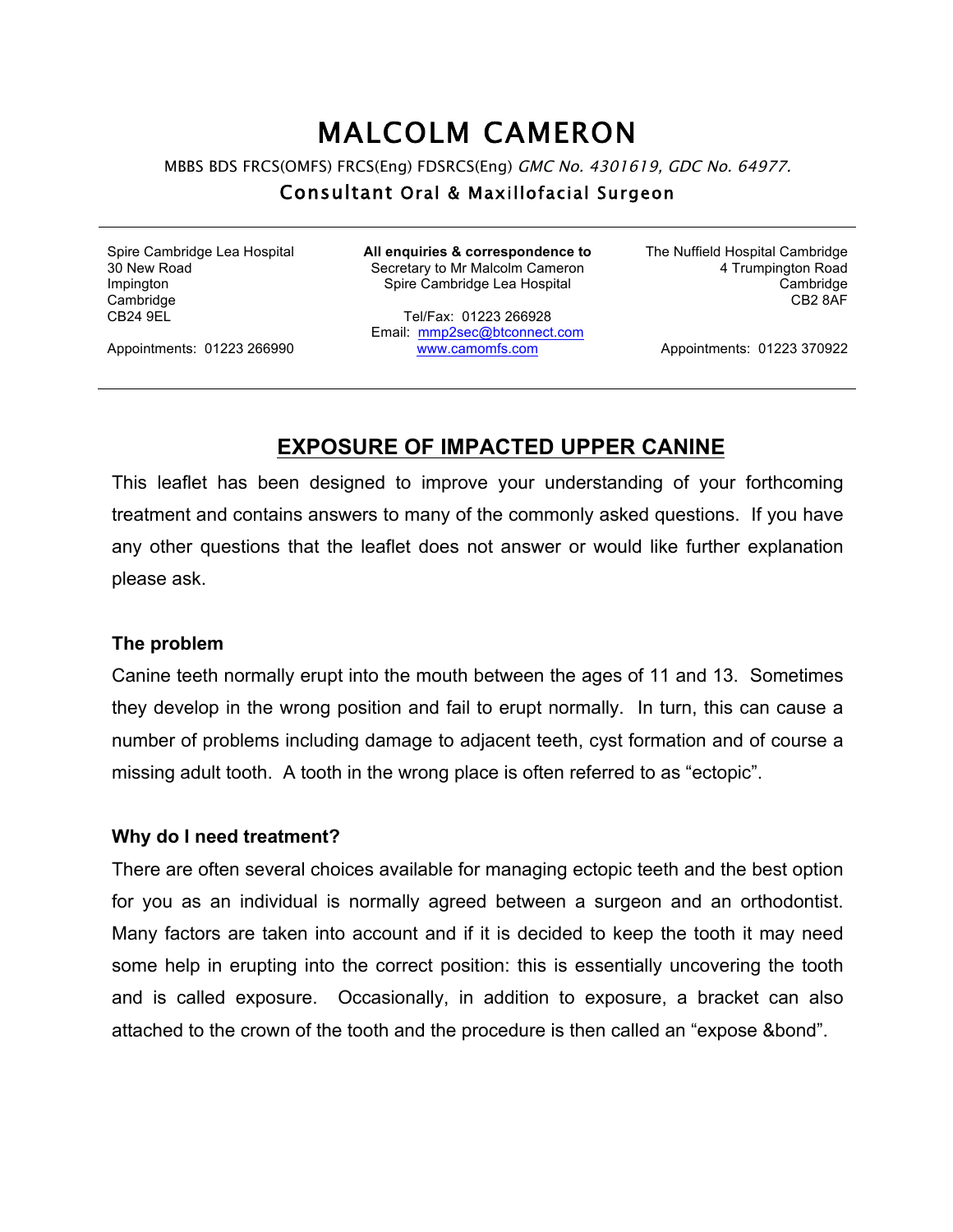# MALCOLM CAMERON

MBBS BDS FRCS(OMFS) FRCS(Eng) FDSRCS(Eng) GMC No. 4301619, GDC No. 64977.

#### Consultant Oral & Maxillofacial Surgeon

Spire Cambridge Lea Hospital 30 New Road Impington **Cambridge** CB24 9EL

**All enquiries & correspondence to** Secretary to Mr Malcolm Cameron Spire Cambridge Lea Hospital

Tel/Fax: 01223 266928 Email: mmp2sec@btconnect.com www.camomfs.com

The Nuffield Hospital Cambridge 4 Trumpington Road Cambridge CB2 8AF

Appointments: 01223 266990

Appointments: 01223 370922

## **EXPOSURE OF IMPACTED UPPER CANINE**

This leaflet has been designed to improve your understanding of your forthcoming treatment and contains answers to many of the commonly asked questions. If you have any other questions that the leaflet does not answer or would like further explanation please ask.

#### **The problem**

Canine teeth normally erupt into the mouth between the ages of 11 and 13. Sometimes they develop in the wrong position and fail to erupt normally. In turn, this can cause a number of problems including damage to adjacent teeth, cyst formation and of course a missing adult tooth. A tooth in the wrong place is often referred to as "ectopic".

#### **Why do I need treatment?**

There are often several choices available for managing ectopic teeth and the best option for you as an individual is normally agreed between a surgeon and an orthodontist. Many factors are taken into account and if it is decided to keep the tooth it may need some help in erupting into the correct position: this is essentially uncovering the tooth and is called exposure. Occasionally, in addition to exposure, a bracket can also attached to the crown of the tooth and the procedure is then called an "expose &bond".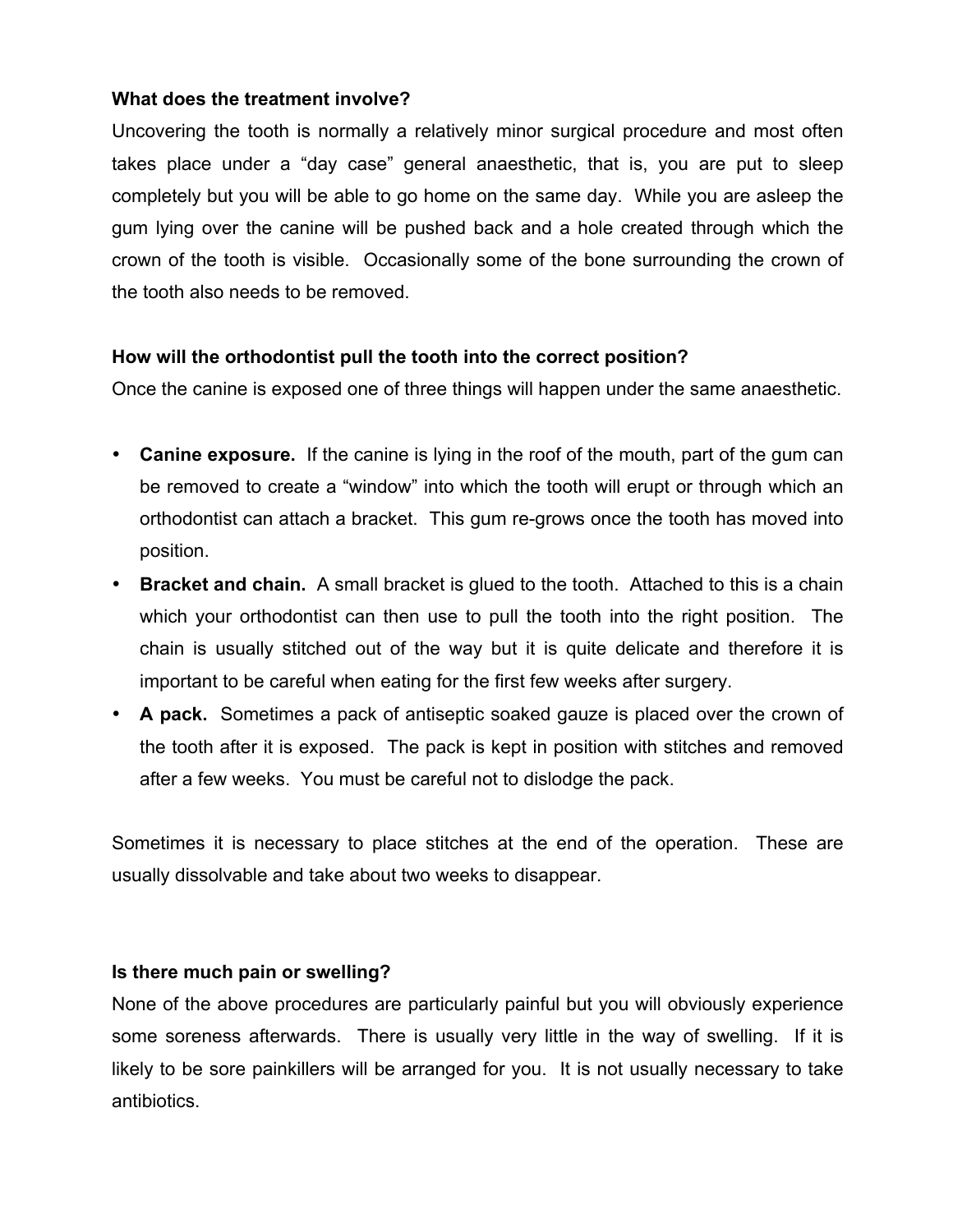#### **What does the treatment involve?**

Uncovering the tooth is normally a relatively minor surgical procedure and most often takes place under a "day case" general anaesthetic, that is, you are put to sleep completely but you will be able to go home on the same day. While you are asleep the gum lying over the canine will be pushed back and a hole created through which the crown of the tooth is visible. Occasionally some of the bone surrounding the crown of the tooth also needs to be removed.

#### **How will the orthodontist pull the tooth into the correct position?**

Once the canine is exposed one of three things will happen under the same anaesthetic.

- **Canine exposure.** If the canine is lying in the roof of the mouth, part of the gum can be removed to create a "window" into which the tooth will erupt or through which an orthodontist can attach a bracket. This gum re-grows once the tooth has moved into position.
- **Bracket and chain.** A small bracket is glued to the tooth. Attached to this is a chain which your orthodontist can then use to pull the tooth into the right position. The chain is usually stitched out of the way but it is quite delicate and therefore it is important to be careful when eating for the first few weeks after surgery.
- **A pack.** Sometimes a pack of antiseptic soaked gauze is placed over the crown of the tooth after it is exposed. The pack is kept in position with stitches and removed after a few weeks. You must be careful not to dislodge the pack.

Sometimes it is necessary to place stitches at the end of the operation. These are usually dissolvable and take about two weeks to disappear.

#### **Is there much pain or swelling?**

None of the above procedures are particularly painful but you will obviously experience some soreness afterwards. There is usually very little in the way of swelling. If it is likely to be sore painkillers will be arranged for you. It is not usually necessary to take antibiotics.